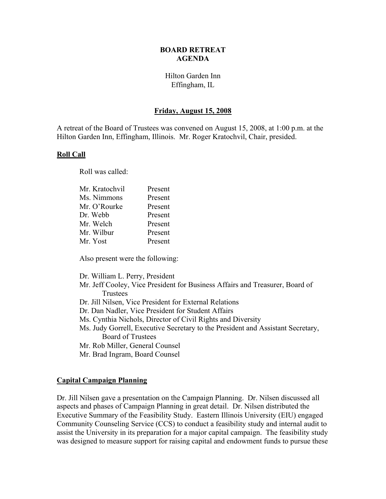#### **BOARD RETREAT AGENDA**

# Hilton Garden Inn Effingham, IL

## **Friday, August 15, 2008**

A retreat of the Board of Trustees was convened on August 15, 2008, at 1:00 p.m. at the Hilton Garden Inn, Effingham, Illinois. Mr. Roger Kratochvil, Chair, presided.

#### **Roll Call**

Roll was called:

| Mr. Kratochvil | Present |
|----------------|---------|
| Ms. Nimmons    | Present |
| Mr. O'Rourke   | Present |
| Dr. Webb       | Present |
| Mr. Welch      | Present |
| Mr. Wilbur     | Present |
| Mr. Yost       | Present |
|                |         |

Also present were the following:

Dr. William L. Perry, President

- Mr. Jeff Cooley, Vice President for Business Affairs and Treasurer, Board of **Trustees**
- Dr. Jill Nilsen, Vice President for External Relations
- Dr. Dan Nadler, Vice President for Student Affairs
- Ms. Cynthia Nichols, Director of Civil Rights and Diversity
- Ms. Judy Gorrell, Executive Secretary to the President and Assistant Secretary, Board of Trustees
- Mr. Rob Miller, General Counsel
- Mr. Brad Ingram, Board Counsel

#### **Capital Campaign Planning**

Dr. Jill Nilsen gave a presentation on the Campaign Planning. Dr. Nilsen discussed all aspects and phases of Campaign Planning in great detail. Dr. Nilsen distributed the Executive Summary of the Feasibility Study. Eastern Illinois University (EIU) engaged Community Counseling Service (CCS) to conduct a feasibility study and internal audit to assist the University in its preparation for a major capital campaign. The feasibility study was designed to measure support for raising capital and endowment funds to pursue these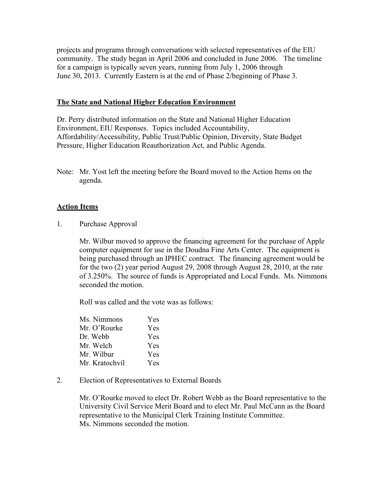projects and programs through conversations with selected representatives of the EIU community. The study began in April 2006 and concluded in June 2006. The timeline for a campaign is typically seven years, running from July 1, 2006 through June 30, 2013. Currently Eastern is at the end of Phase 2/beginning of Phase 3.

## **The State and National Higher Education Environment**

Dr. Perry distributed information on the State and National Higher Education Environment, EIU Responses. Topics included Accountability, Affordability/Accessibility, Public Trust/Public Opinion, Diversity, State Budget Pressure, Higher Education Reauthorization Act, and Public Agenda.

Note: Mr. Yost left the meeting before the Board moved to the Action Items on the agenda.

## **Action Items**

1. Purchase Approval

Mr. Wilbur moved to approve the financing agreement for the purchase of Apple computer equipment for use in the Doudna Fine Arts Center. The equipment is being purchased through an IPHEC contract. The financing agreement would be for the two (2) year period August 29, 2008 through August 28, 2010, at the rate of 3.250%. The source of funds is Appropriated and Local Funds. Ms. Nimmons seconded the motion.

Roll was called and the vote was as follows:

| Ms. Nimmons    | Yes        |
|----------------|------------|
| Mr. O'Rourke   | <b>Yes</b> |
| Dr. Webb       | <b>Yes</b> |
| Mr. Welch      | Yes        |
| Mr. Wilbur     | <b>Yes</b> |
| Mr. Kratochvil | Yes        |

2. Election of Representatives to External Boards

Mr. O'Rourke moved to elect Dr. Robert Webb as the Board representative to the University Civil Service Merit Board and to elect Mr. Paul McCann as the Board representative to the Municipal Clerk Training Institute Committee. Ms. Nimmons seconded the motion.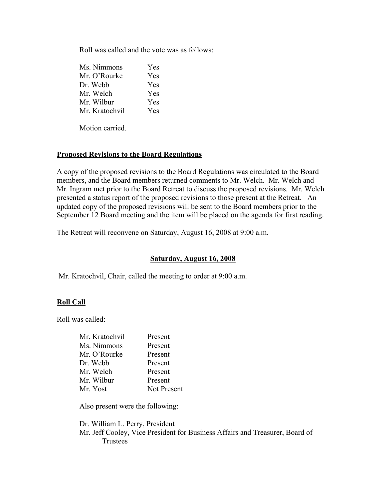Roll was called and the vote was as follows:

| Ms. Nimmons    | Yes |
|----------------|-----|
| Mr. O'Rourke   | Yes |
| Dr. Webb       | Yes |
| Mr. Welch      | Yes |
| Mr. Wilbur     | Yes |
| Mr. Kratochvil | Yes |

Motion carried.

## **Proposed Revisions to the Board Regulations**

A copy of the proposed revisions to the Board Regulations was circulated to the Board members, and the Board members returned comments to Mr. Welch. Mr. Welch and Mr. Ingram met prior to the Board Retreat to discuss the proposed revisions. Mr. Welch presented a status report of the proposed revisions to those present at the Retreat. An updated copy of the proposed revisions will be sent to the Board members prior to the September 12 Board meeting and the item will be placed on the agenda for first reading.

The Retreat will reconvene on Saturday, August 16, 2008 at 9:00 a.m.

## **Saturday, August 16, 2008**

Mr. Kratochvil, Chair, called the meeting to order at 9:00 a.m.

## **Roll Call**

Roll was called:

| Mr. Kratochvil | Present     |
|----------------|-------------|
| Ms. Nimmons    | Present     |
| Mr. O'Rourke   | Present     |
| Dr. Webb       | Present     |
| Mr. Welch      | Present     |
| Mr. Wilbur     | Present     |
| Mr. Yost       | Not Present |

Also present were the following:

Dr. William L. Perry, President Mr. Jeff Cooley, Vice President for Business Affairs and Treasurer, Board of **Trustees**